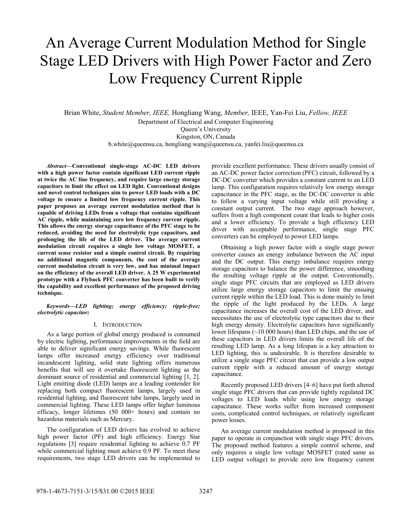# An Average Current Modulation Method for Single Stage LED Drivers with High Power Factor and Zero Low Frequency Current Ripple

Brian White, *Student Member, IEEE,* Hongliang Wang, *Member,* IEEE, Yan-Fei Liu, *Fellow, IEEE* Department of Electrical and Computer Engineering Queen's University Kingston, ON, Canada b.white@queensu.ca, hongliang.wang@queensu.ca, yanfei.liu@queensu.ca

*Abstract***—Conventional single-stage AC-DC LED drivers with a high power factor contain significant LED current ripple at twice the AC line frequency, and require large energy storage capacitors to limit the effect on LED light. Conventional designs and novel control techniques aim to power LED loads with a DC voltage to ensure a limited low frequency current ripple. This paper proposes an average current modulation method that is capable of driving LEDs from a voltage that contains significant AC ripple, while maintaining zero low frequency current ripple. This allows the energy storage capacitance of the PFC stage to be reduced, avoiding the need for electrolytic type capacitors, and prolonging the life of the LED driver. The average current modulation circuit requires a single low voltage MOSFET, a current sense resistor and a simple control circuit. By requiring no additional magnetic components, the cost of the average current modulation circuit is very low, and has minimal impact on the efficiency of the overall LED driver. A 25 W experimental prototype with a Flyback PFC converter has been built to verify the capability and excellent performance of the proposed driving technique.**

## *Keywords—LED lighting; energy efficiency; ripple-free; electrolytic capacitor;*

#### I. INTRODUCTION

As a large portion of global energy produced is consumed by electric lighting, performance improvements in the field are able to deliver significant energy savings. While fluorescent lamps offer increased energy efficiency over traditional incandescent lighting, solid state lighting offers numerous benefits that will see it overtake fluorescent lighting as the dominant source of residential and commercial lighting [1, 2]. Light emitting diode (LED) lamps are a leading contender for replacing both compact fluorescent lamps, largely used in residential lighting, and fluorescent tube lamps, largely used in commercial lighting. These LED lamps offer higher luminous efficacy, longer lifetimes (50 000+ hours) and contain no hazardous materials such as Mercury.

The configuration of LED drivers has evolved to achieve high power factor (PF) and high efficiency. Energy Star regulations [3] require residential lighting to achieve 0.7 PF while commercial lighting must achieve 0.9 PF. To meet these requirements, two stage LED drivers can be implemented to

provide excellent performance. These drivers usually consist of an AC-DC power factor correction (PFC) circuit, followed by a DC-DC converter which provides a constant current to an LED lamp. This configuration requires relatively low energy storage capacitance in the PFC stage, as the DC-DC converter is able to follow a varying input voltage while still providing a constant output current. The two stage approach however, suffers from a high component count that leads to higher costs and a lower efficiency. To provide a high efficiency LED driver with acceptable performance, single stage PFC converters can be employed to power LED lamps.

Obtaining a high power factor with a single stage power converter causes an energy imbalance between the AC input and the DC output. This energy imbalance requires energy storage capacitors to balance the power difference, smoothing the resulting voltage ripple at the output. Conventionally, single stage PFC circuits that are employed as LED drivers utilize large energy storage capacitors to limit the ensuing current ripple within the LED load. This is done mainly to limit the ripple of the light produced by the LEDs. A large capacitance increases the overall cost of the LED driver, and necessitates the use of electrolytic type capacitors due to their high energy density. Electrolytic capacitors have significantly lower lifespans (~10 000 hours) than LED chips, and the use of these capacitors in LED drivers limits the overall life of the resulting LED lamp. As a long lifespan is a key attraction to LED lighting, this is undesirable. It is therefore desirable to utilize a single stage PFC circuit that can provide a low output current ripple with a reduced amount of energy storage capacitance.

Recently proposed LED drivers [4–6] have put forth altered single stage PFC drivers that can provide tightly regulated DC voltages to LED loads while using low energy storage capacitance. These works suffer from increased component costs, complicated control techniques, or relatively significant power losses.

An average current modulation method is proposed in this paper to operate in conjunction with single stage PFC drivers. The proposed method features a simple control scheme, and only requires a single low voltage MOSFET (rated same as LED output voltage) to provide zero low frequency current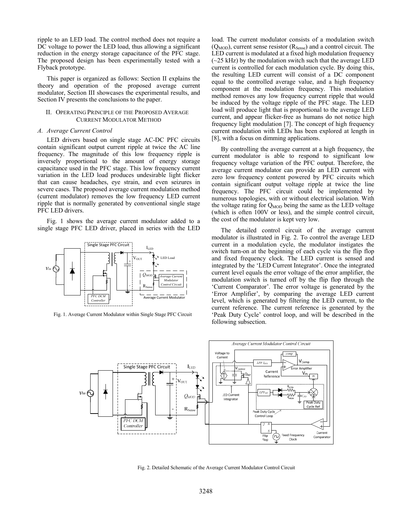ripple to an LED load. The control method does not require a DC voltage to power the LED load, thus allowing a significant reduction in the energy storage capacitance of the PFC stage. The proposed design has been experimentally tested with a Flyback prototype.

This paper is organized as follows: Section II explains the theory and operation of the proposed average current modulator, Section III showcases the experimental results, and Section IV presents the conclusions to the paper.

# II. OPERATING PRINCIPLE OF THE PROPOSED AVERAGE CURRENT MODULATOR METHOD

#### *A. Average Current Control*

LED drivers based on single stage AC-DC PFC circuits contain significant output current ripple at twice the AC line frequency. The magnitude of this low frequency ripple is inversely proportional to the amount of energy storage capacitance used in the PFC stage. This low frequency current variation in the LED load produces undesirable light flicker that can cause headaches, eye strain, and even seizures in severe cases. The proposed average current modulation method (current modulator) removes the low frequency LED current ripple that is normally generated by conventional single stage PFC LED drivers.

Fig. 1 shows the average current modulator added to a single stage PFC LED driver, placed in series with the LED



Fig. 1. Average Current Modulator within Single Stage PFC Circuit

load. The current modulator consists of a modulation switch  $(Q<sub>MOD</sub>)$ , current sense resistor  $(R<sub>Sense</sub>)$  and a control circuit. The LED current is modulated at a fixed high modulation frequency  $(-25 \text{ kHz})$  by the modulation switch such that the average LED current is controlled for each modulation cycle. By doing this, the resulting LED current will consist of a DC component equal to the controlled average value, and a high frequency component at the modulation frequency. This modulation method removes any low frequency current ripple that would be induced by the voltage ripple of the PFC stage. The LED load will produce light that is proportional to the average LED current, and appear flicker-free as humans do not notice high frequency light modulation [7]. The concept of high frequency current modulation with LEDs has been explored at length in [8], with a focus on dimming applications.

By controlling the average current at a high frequency, the current modulator is able to respond to significant low frequency voltage variation of the PFC output. Therefore, the average current modulator can provide an LED current with zero low frequency content powered by PFC circuits which contain significant output voltage ripple at twice the line frequency. The PFC circuit could be implemented by numerous topologies, with or without electrical isolation. With the voltage rating for  $Q_{\text{MOD}}$  being the same as the LED voltage (which is often 100V or less), and the simple control circuit, the cost of the modulator is kept very low.

The detailed control circuit of the average current modulator is illustrated in Fig. 2. To control the average LED current in a modulation cycle, the modulator instigates the switch turn-on at the beginning of each cycle via the flip flop and fixed frequency clock. The LED current is sensed and integrated by the 'LED Current Integrator'. Once the integrated current level equals the error voltage of the error amplifier, the modulation switch is turned off by the flip flop through the 'Current Comparator'. The error voltage is generated by the 'Error Amplifier', by comparing the average LED current level, which is generated by filtering the LED current, to the current reference. The current reference is generated by the 'Peak Duty Cycle' control loop, and will be described in the following subsection.



Fig. 2. Detailed Schematic of the Average Current Modulator Control Circuit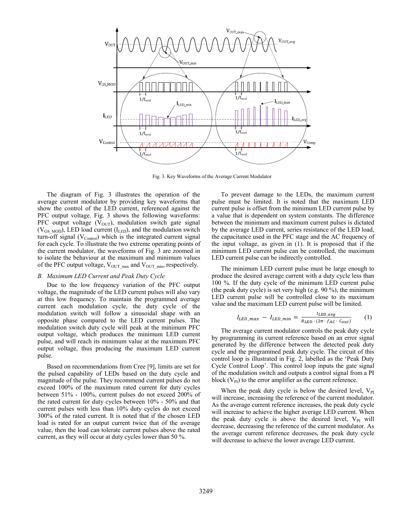

Fig. 3. Key Waveforms of the Average Current Modulator

The diagram of Fig. 3 illustrates the operation of the average current modulator by providing key waveforms that show the control of the LED current, referenced against the PFC output voltage. Fig. 3 shows the following waveforms: PFC output voltage  $(V_{\text{OUT}})$ , modulation switch gate signal  $(V_{GSMOD})$ , LED load current ( $I_{LED}$ ), and the modulation switch turn-off signal  $(V_{\text{Control}})$  which is the integrated current signal for each cycle. To illustrate the two extreme operating points of the current modulator, the waveforms of Fig. 3 are zoomed in to isolate the behaviour at the maximum and minimum values of the PFC output voltage,  $V_{\text{OUT max}}$  and  $V_{\text{OUT min}}$ , respectively.

# *B. Maximum LED Current and Peak Duty Cycle*

Due to the low frequency variation of the PFC output voltage, the magnitude of the LED current pulses will also vary at this low frequency. To maintain the programmed average current each modulation cycle, the duty cycle of the modulation switch will follow a sinusoidal shape with an opposite phase compared to the LED current pulses. The modulation switch duty cycle will peak at the minimum PFC output voltage, which produces the minimum LED current pulse, and will reach its minimum value at the maximum PFC output voltage, thus producing the maximum LED current pulse.

Based on recommendations from Cree [9], limits are set for the pulsed capability of LEDs based on the duty cycle and magnitude of the pulse. They recommend current pulses do not exceed 100% of the maximum rated current for duty cycles between 51% - 100%, current pulses do not exceed 200% of the rated current for duty cycles between 10% - 50% and that current pulses with less than 10% duty cycles do not exceed 300% of the rated current. It is noted that if the chosen LED load is rated for an output current twice that of the average value, then the load can tolerate current pulses above the rated current, as they will occur at duty cycles lower than 50 %.

To prevent damage to the LEDs, the maximum current pulse must be limited. It is noted that the maximum LED current pulse is offset from the minimum LED current pulse by a value that is dependent on system constants. The difference between the minimum and maximum current pulses is dictated by the average LED current, series resistance of the LED load, the capacitance used in the PFC stage and the AC frequency of the input voltage, as given in (1). It is proposed that if the minimum LED current pulse can be controlled, the maximum LED current pulse can be indirectly controlled.

The minimum LED current pulse must be large enough to produce the desired average current with a duty cycle less than 100 %. If the duty cycle of the minimum LED current pulse (the peak duty cycle) is set very high (e.g. 90 %), the minimum LED current pulse will be controlled close to its maximum value and the maximum LED current pulse will be limited.

$$
I_{LED\_max} - I_{LED\_min} = \frac{I_{LED\_avg}}{R_{LED} \cdot (2\pi \cdot f_{AC} \cdot C_{out})}
$$
 (1)

The average current modulator controls the peak duty cycle by programming its current reference based on an error signal generated by the difference between the detected peak duty cycle and the programmed peak duty cycle. The circuit of this control loop is illustrated in Fig. 2, labelled as the 'Peak Duty Cycle Control Loop'. This control loop inputs the gate signal of the modulation switch and outputs a control signal from a PI block  $(V_{PI})$  to the error amplifier as the current reference.

When the peak duty cycle is below the desired level,  $V_{PI}$ will increase, increasing the reference of the current modulator. As the average current reference increases, the peak duty cycle will increase to achieve the higher average LED current. When the peak duty cycle is above the desired level,  $V_{PI}$  will decrease, decreasing the reference of the current modulator. As the average current reference decreases, the peak duty cycle will decrease to achieve the lower average LED current.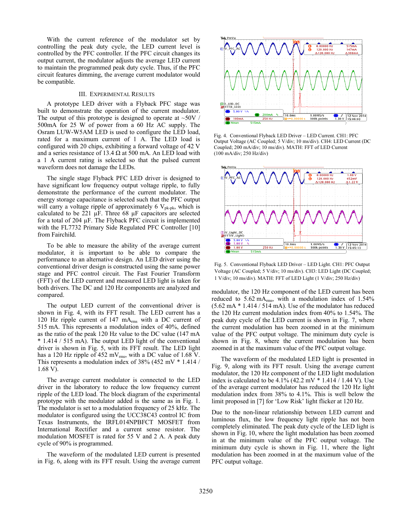With the current reference of the modulator set by controlling the peak duty cycle, the LED current level is controlled by the PFC controller. If the PFC circuit changes its output current, the modulator adjusts the average LED current to maintain the programmed peak duty cycle. Thus, if the PFC circuit features dimming, the average current modulator would be compatible.

#### III. EXPERIMENTAL RESULTS

A prototype LED driver with a Flyback PFC stage was built to demonstrate the operation of the current modulator. The output of this prototype is designed to operate at  $\sim 50V$  / 500mA for 25 W of power from a 60 Hz AC supply. The Osram LUW-W5AM LED is used to configure the LED load, rated for a maximum current of 1 A. The LED load is configured with 20 chips, exhibiting a forward voltage of 42 V and a series resistance of 13.4  $\Omega$  at 500 mA. An LED load with a 1 A current rating is selected so that the pulsed current waveform does not damage the LEDs.

The single stage Flyback PFC LED driver is designed to have significant low frequency output voltage ripple, to fully demonstrate the performance of the current modulator. The energy storage capacitance is selected such that the PFC output will carry a voltage ripple of approximately 6  $V_{pk-pk}$ , which is calculated to be 221 μF. Three 68 μF capacitors are selected for a total of 204 μF. The Flyback PFC circuit is implemented with the FL7732 Primary Side Regulated PFC Controller [10] from Fairchild.

To be able to measure the ability of the average current modulator, it is important to be able to compare the performance to an alternative design. An LED driver using the conventional driver design is constructed using the same power stage and PFC control circuit. The Fast Fourier Transform (FFT) of the LED current and measured LED light is taken for both drivers. The DC and 120 Hz components are analyzed and compared.

The output LED current of the conventional driver is shown in Fig. 4, with its FFT result. The LED current has a 120 Hz ripple current of 147  $mA_{rms}$  with a DC current of 515 mA. This represents a modulation index of 40%, defined as the ratio of the peak 120 Hz value to the DC value (147 mA \* 1.414 / 515 mA). The output LED light of the conventional driver is shown in Fig. 5, with its FFT result. The LED light has a 120 Hz ripple of 452 mV $_{\rm rms}$ , with a DC value of 1.68 V. This represents a modulation index of 38% (452 mV \* 1.414 / 1.68 V).

The average current modulator is connected to the LED driver in the laboratory to reduce the low frequency current ripple of the LED load. The block diagram of the experimental prototype with the modulator added is the same as in Fig. 1. The modulator is set to a modulation frequency of 25 kHz. The modulator is configured using the UCC38C43 control IC from Texas Instruments, the IRFL014NPBFCT MOSFET from International Rectifier and a current sense resistor. The modulation MOSFET is rated for 55 V and 2 A. A peak duty cycle of 90% is programmed.

The waveform of the modulated LED current is presented in Fig. 6, along with its FFT result. Using the average current



Fig. 4. Conventional Flyback LED Driver – LED Current. CH1: PFC Output Voltage (AC Coupled; 5 V/div; 10 ms/div). CH4: LED Current (DC Coupled; 200 mA/div; 10 ms/div). MATH: FFT of LED Current (100 mA/div; 250 Hz/div)



Fig. 5. Conventional Flyback LED Driver – LED Light. CH1: PFC Output Voltage (AC Coupled; 5 V/div; 10 ms/div). CH3: LED Light (DC Coupled; 1 V/div; 10 ms/div). MATH: FFT of LED Light (1 V/div; 250 Hz/div)

modulator, the 120 Hz component of the LED current has been reduced to  $5.62 \text{ mA}_{\text{rms}}$ , with a modulation index of  $1.54\%$ (5.62 mA \* 1.414 / 514 mA). Use of the modulator has reduced the 120 Hz current modulation index from 40% to 1.54%. The peak duty cycle of the LED current is shown in Fig. 7, where the current modulation has been zoomed in at the minimum value of the PFC output voltage. The minimum duty cycle is shown in Fig. 8, where the current modulation has been zoomed in at the maximum value of the PFC output voltage.

The waveform of the modulated LED light is presented in Fig. 9, along with its FFT result. Using the average current modulator, the 120 Hz component of the LED light modulation index is calculated to be  $4.1\%$  (42.2 mV  $*$  1.414 / 1.44 V). Use of the average current modulator has reduced the 120 Hz light modulation index from 38% to 4.1%. This is well below the limit proposed in [7] for 'Low Risk' light flicker at 120 Hz.

Due to the non-linear relationship between LED current and luminous flux, the low frequency light ripple has not been completely eliminated. The peak duty cycle of the LED light is shown in Fig. 10, where the light modulation has been zoomed in at the minimum value of the PFC output voltage. The minimum duty cycle is shown in Fig. 11, where the light modulation has been zoomed in at the maximum value of the PFC output voltage.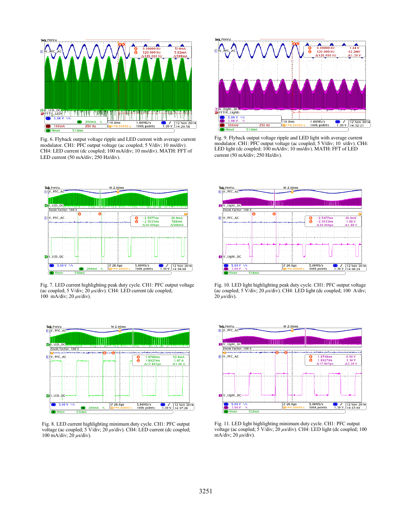

Fig. 6. Flyback output voltage ripple and LED current with average current modulator. CH1: PFC output voltage (ac coupled; 5 V/div; 10 ms/div). CH4: LED current (dc coupled; 100 mA/div; 10 ms/div). MATH: FFT of LED current (50 mA/div; 250 Hz/div).



Fig. 7. LED current highlighting peak duty cycle. CH1: PFC output voltage (ac coupled; 5 V/div; 20 *μ*s/div). CH4: LED current (dc coupled; 100 mA/div; 20 *μ*s/div).



Fig. 8. LED current highlighting minimum duty cycle. CH1: PFC output voltage (ac coupled; 5 V/div; 20 *μ*s/div). CH4: LED current (dc coupled; 100 mA/div; 20 *μ*s/div).



Fig. 9. Flyback output voltage ripple and LED light with average current modulator. CH1: PFC output voltage (ac coupled; 5 V/div; 10 s/div). CH4: LED light (dc coupled; 100 mA/div; 10 ms/div). MATH: FFT of LED current (50 mA/div; 250 Hz/div).



Fig. 10. LED light highlighting peak duty cycle. CH1: PFC output voltage (ac coupled;  $5 \text{ V}/\text{div}$ ;  $20 \mu\text{s}/\text{div}$ ). CH4: LED light (dc coupled; 100 A/div;  $\frac{\partial u}{\partial y}$  *μs*/div).



Fig. 11. LED light highlighting minimum duty cycle. CH1: PFC output voltage (ac coupled; 5 V/div; 20 *μ*s/div). CH4: LED light (dc coupled; 100 mA/div; 20 *μ*s/div).